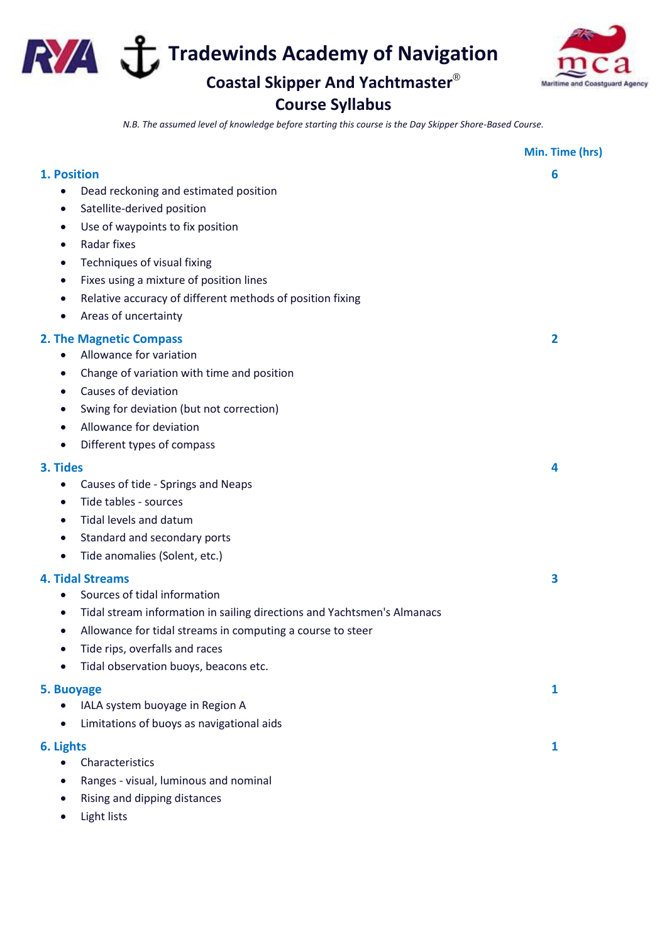**Tradewinds Academy of Navigation** 

**Coastal Skipper And Yachtmaster**®

## **Course Syllabus**

Maritim d Co

*N.B. The assumed level of knowledge before starting this course is the Day Skipper Shore-Based Course.*

|                                                                                                                                                                                                                                                                                                                                                                                                 | Min. Time (hrs)         |
|-------------------------------------------------------------------------------------------------------------------------------------------------------------------------------------------------------------------------------------------------------------------------------------------------------------------------------------------------------------------------------------------------|-------------------------|
| 1. Position<br>Dead reckoning and estimated position<br>Satellite-derived position<br>$\bullet$<br>Use of waypoints to fix position<br>$\bullet$<br>Radar fixes<br>$\bullet$<br>Techniques of visual fixing<br>$\bullet$<br>Fixes using a mixture of position lines<br>$\bullet$<br>Relative accuracy of different methods of position fixing<br>$\bullet$<br>Areas of uncertainty<br>$\bullet$ | 6                       |
| <b>2. The Magnetic Compass</b><br>Allowance for variation<br>$\bullet$<br>Change of variation with time and position<br>$\bullet$<br>Causes of deviation<br>$\bullet$<br>Swing for deviation (but not correction)<br>$\bullet$<br>Allowance for deviation<br>$\bullet$<br>Different types of compass<br>$\bullet$                                                                               | $\overline{\mathbf{2}}$ |
| 3. Tides<br>Causes of tide - Springs and Neaps<br>$\bullet$<br>Tide tables - sources<br>$\bullet$<br>Tidal levels and datum<br>$\bullet$<br>Standard and secondary ports<br>$\bullet$<br>Tide anomalies (Solent, etc.)<br>$\bullet$                                                                                                                                                             | 4                       |
| <b>4. Tidal Streams</b><br>Sources of tidal information<br>$\bullet$<br>Tidal stream information in sailing directions and Yachtsmen's Almanacs<br>$\bullet$<br>Allowance for tidal streams in computing a course to steer<br>$\bullet$<br>Tide rips, overfalls and races<br>Tidal observation buoys, beacons etc.                                                                              | 3                       |
| 5. Buoyage<br>IALA system buoyage in Region A<br>Limitations of buoys as navigational aids                                                                                                                                                                                                                                                                                                      | 1                       |
| 6. Lights<br>Characteristics<br>Ranges - visual, luminous and nominal<br>Rising and dipping distances                                                                                                                                                                                                                                                                                           | $\mathbf{1}$            |

• Light lists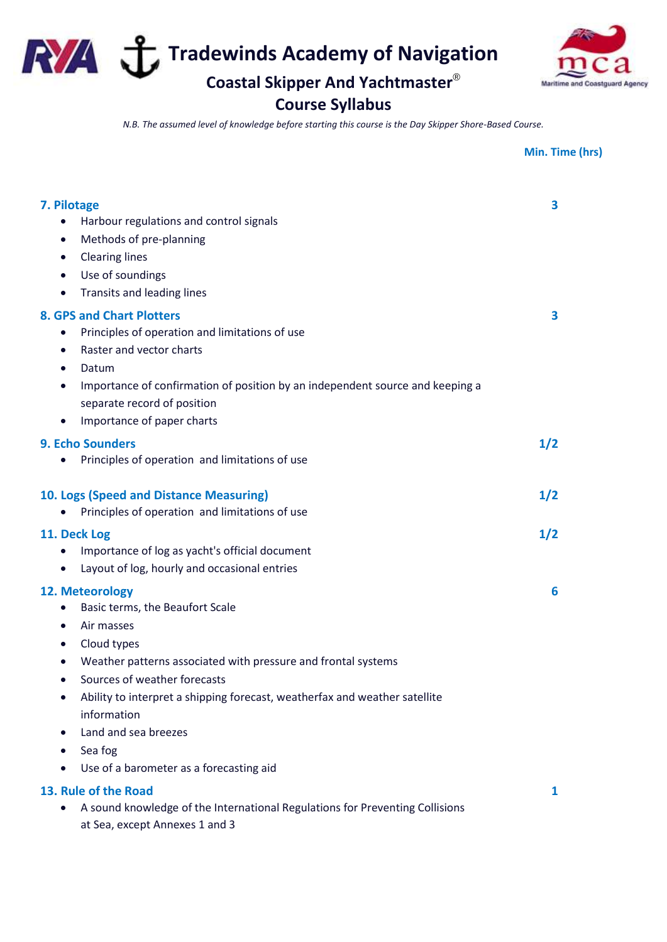**Tradewinds Academy of Navigation** 

**Coastal Skipper And Yachtmaster**® **Course Syllabus**



## *N.B. The assumed level of knowledge before starting this course is the Day Skipper Shore-Based Course.*

|                                                                                                                                                                                                                                                                                                                                                                                                    | Min. Time (hrs) |
|----------------------------------------------------------------------------------------------------------------------------------------------------------------------------------------------------------------------------------------------------------------------------------------------------------------------------------------------------------------------------------------------------|-----------------|
| 7. Pilotage<br>Harbour regulations and control signals<br>$\bullet$<br>Methods of pre-planning<br>$\bullet$<br><b>Clearing lines</b><br>$\bullet$<br>Use of soundings<br>$\bullet$<br>Transits and leading lines<br>$\bullet$                                                                                                                                                                      | 3               |
| <b>8. GPS and Chart Plotters</b><br>Principles of operation and limitations of use<br>$\bullet$<br>Raster and vector charts<br>$\bullet$<br>Datum<br>$\bullet$<br>Importance of confirmation of position by an independent source and keeping a<br>$\bullet$<br>separate record of position<br>Importance of paper charts<br>$\bullet$                                                             | 3               |
| <b>9. Echo Sounders</b><br>Principles of operation and limitations of use<br>$\bullet$                                                                                                                                                                                                                                                                                                             | 1/2             |
| 10. Logs (Speed and Distance Measuring)<br>Principles of operation and limitations of use                                                                                                                                                                                                                                                                                                          | 1/2             |
| 11. Deck Log<br>Importance of log as yacht's official document<br>Layout of log, hourly and occasional entries<br>$\bullet$                                                                                                                                                                                                                                                                        | 1/2             |
| 12. Meteorology<br>Basic terms, the Beaufort Scale<br>$\bullet$<br>Air masses<br>Cloud types<br>Weather patterns associated with pressure and frontal systems<br>Sources of weather forecasts<br>Ability to interpret a shipping forecast, weatherfax and weather satellite<br>$\bullet$<br>information<br>Land and sea breezes<br>Sea fog<br>Use of a barometer as a forecasting aid<br>$\bullet$ | 6               |
| 13. Rule of the Road<br>A sound knowledge of the International Regulations for Preventing Collisions<br>$\bullet$<br>at Sea, except Annexes 1 and 3                                                                                                                                                                                                                                                | 1               |